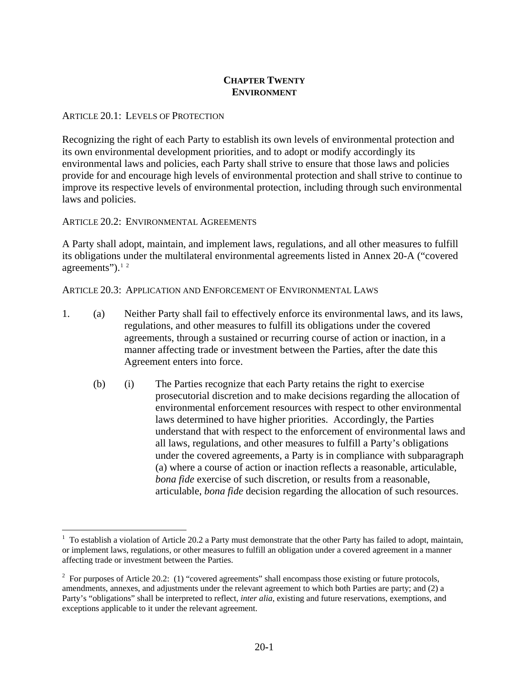### **CHAPTER TWENTY ENVIRONMENT**

#### ARTICLE 20.1: LEVELS OF PROTECTION

Recognizing the right of each Party to establish its own levels of environmental protection and its own environmental development priorities, and to adopt or modify accordingly its environmental laws and policies, each Party shall strive to ensure that those laws and policies provide for and encourage high levels of environmental protection and shall strive to continue to improve its respective levels of environmental protection, including through such environmental laws and policies.

ARTICLE 20.2: ENVIRONMENTAL AGREEMENTS

 $\overline{a}$ 

A Party shall adopt, maintain, and implement laws, regulations, and all other measures to fulfill its obligations under the multilateral environmental agreements listed in Annex 20-A ("covered agreements"). $1/2$  $1/2$  $1/2$ 

ARTICLE 20.3: APPLICATION AND ENFORCEMENT OF ENVIRONMENTAL LAWS

- 1. (a) Neither Party shall fail to effectively enforce its environmental laws, and its laws, regulations, and other measures to fulfill its obligations under the covered agreements, through a sustained or recurring course of action or inaction, in a manner affecting trade or investment between the Parties, after the date this Agreement enters into force.
	- (b) (i) The Parties recognize that each Party retains the right to exercise prosecutorial discretion and to make decisions regarding the allocation of environmental enforcement resources with respect to other environmental laws determined to have higher priorities. Accordingly, the Parties understand that with respect to the enforcement of environmental laws and all laws, regulations, and other measures to fulfill a Party's obligations under the covered agreements, a Party is in compliance with subparagraph (a) where a course of action or inaction reflects a reasonable, articulable, *bona fide* exercise of such discretion, or results from a reasonable, articulable, *bona fide* decision regarding the allocation of such resources.

<span id="page-0-0"></span> $1$  To establish a violation of Article 20.2 a Party must demonstrate that the other Party has failed to adopt, maintain, or implement laws, regulations, or other measures to fulfill an obligation under a covered agreement in a manner affecting trade or investment between the Parties.

<span id="page-0-1"></span> $2^2$  For purposes of Article 20.2: (1) "covered agreements" shall encompass those existing or future protocols, amendments, annexes, and adjustments under the relevant agreement to which both Parties are party; and (2) a Party's "obligations" shall be interpreted to reflect, *inter alia*, existing and future reservations, exemptions, and exceptions applicable to it under the relevant agreement.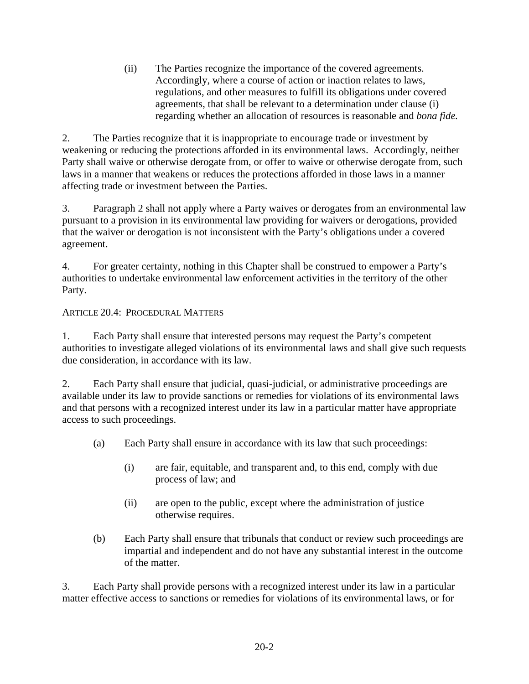(ii) The Parties recognize the importance of the covered agreements. Accordingly, where a course of action or inaction relates to laws, regulations, and other measures to fulfill its obligations under covered agreements, that shall be relevant to a determination under clause (i) regarding whether an allocation of resources is reasonable and *bona fide.*

2. The Parties recognize that it is inappropriate to encourage trade or investment by weakening or reducing the protections afforded in its environmental laws. Accordingly, neither Party shall waive or otherwise derogate from, or offer to waive or otherwise derogate from, such laws in a manner that weakens or reduces the protections afforded in those laws in a manner affecting trade or investment between the Parties.

3. Paragraph 2 shall not apply where a Party waives or derogates from an environmental law pursuant to a provision in its environmental law providing for waivers or derogations, provided that the waiver or derogation is not inconsistent with the Party's obligations under a covered agreement.

4. For greater certainty, nothing in this Chapter shall be construed to empower a Party's authorities to undertake environmental law enforcement activities in the territory of the other Party.

## ARTICLE 20.4: PROCEDURAL MATTERS

1. Each Party shall ensure that interested persons may request the Party's competent authorities to investigate alleged violations of its environmental laws and shall give such requests due consideration, in accordance with its law.

2. Each Party shall ensure that judicial, quasi-judicial, or administrative proceedings are available under its law to provide sanctions or remedies for violations of its environmental laws and that persons with a recognized interest under its law in a particular matter have appropriate access to such proceedings.

- (a) Each Party shall ensure in accordance with its law that such proceedings:
	- (i) are fair, equitable, and transparent and, to this end, comply with due process of law; and
	- (ii) are open to the public, except where the administration of justice otherwise requires.
- (b) Each Party shall ensure that tribunals that conduct or review such proceedings are impartial and independent and do not have any substantial interest in the outcome of the matter.

3. Each Party shall provide persons with a recognized interest under its law in a particular matter effective access to sanctions or remedies for violations of its environmental laws, or for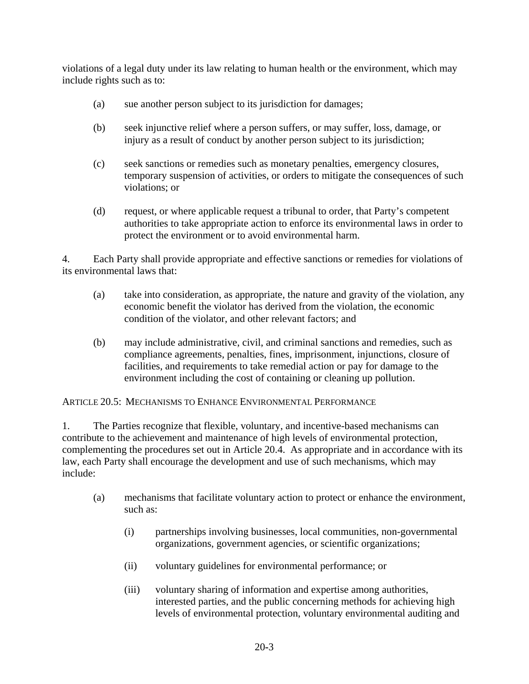violations of a legal duty under its law relating to human health or the environment, which may include rights such as to:

- (a) sue another person subject to its jurisdiction for damages;
- (b) seek injunctive relief where a person suffers, or may suffer, loss, damage, or injury as a result of conduct by another person subject to its jurisdiction;
- (c) seek sanctions or remedies such as monetary penalties, emergency closures, temporary suspension of activities, or orders to mitigate the consequences of such violations; or
- (d) request, or where applicable request a tribunal to order, that Party's competent authorities to take appropriate action to enforce its environmental laws in order to protect the environment or to avoid environmental harm.

4. Each Party shall provide appropriate and effective sanctions or remedies for violations of its environmental laws that:

- (a) take into consideration, as appropriate, the nature and gravity of the violation, any economic benefit the violator has derived from the violation, the economic condition of the violator, and other relevant factors; and
- (b) may include administrative, civil, and criminal sanctions and remedies, such as compliance agreements, penalties, fines, imprisonment, injunctions, closure of facilities, and requirements to take remedial action or pay for damage to the environment including the cost of containing or cleaning up pollution.

ARTICLE 20.5: MECHANISMS TO ENHANCE ENVIRONMENTAL PERFORMANCE

1. The Parties recognize that flexible, voluntary, and incentive-based mechanisms can contribute to the achievement and maintenance of high levels of environmental protection, complementing the procedures set out in Article 20.4. As appropriate and in accordance with its law, each Party shall encourage the development and use of such mechanisms, which may include:

- (a) mechanisms that facilitate voluntary action to protect or enhance the environment, such as:
	- (i) partnerships involving businesses, local communities, non-governmental organizations, government agencies, or scientific organizations;
	- (ii) voluntary guidelines for environmental performance; or
	- (iii) voluntary sharing of information and expertise among authorities, interested parties, and the public concerning methods for achieving high levels of environmental protection, voluntary environmental auditing and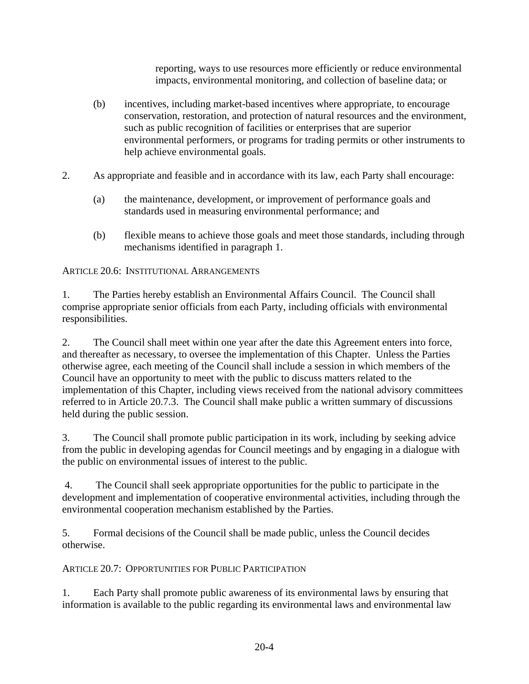reporting, ways to use resources more efficiently or reduce environmental impacts, environmental monitoring, and collection of baseline data; or

- (b) incentives, including market-based incentives where appropriate, to encourage conservation, restoration, and protection of natural resources and the environment, such as public recognition of facilities or enterprises that are superior environmental performers, or programs for trading permits or other instruments to help achieve environmental goals.
- 2. As appropriate and feasible and in accordance with its law, each Party shall encourage:
	- (a) the maintenance, development, or improvement of performance goals and standards used in measuring environmental performance; and
	- (b) flexible means to achieve those goals and meet those standards, including through mechanisms identified in paragraph 1.

ARTICLE 20.6: INSTITUTIONAL ARRANGEMENTS

1. The Parties hereby establish an Environmental Affairs Council. The Council shall comprise appropriate senior officials from each Party, including officials with environmental responsibilities.

2. The Council shall meet within one year after the date this Agreement enters into force, and thereafter as necessary, to oversee the implementation of this Chapter. Unless the Parties otherwise agree, each meeting of the Council shall include a session in which members of the Council have an opportunity to meet with the public to discuss matters related to the implementation of this Chapter, including views received from the national advisory committees referred to in Article 20.7.3. The Council shall make public a written summary of discussions held during the public session.

3. The Council shall promote public participation in its work, including by seeking advice from the public in developing agendas for Council meetings and by engaging in a dialogue with the public on environmental issues of interest to the public.

4. The Council shall seek appropriate opportunities for the public to participate in the development and implementation of cooperative environmental activities, including through the environmental cooperation mechanism established by the Parties.

5. Formal decisions of the Council shall be made public, unless the Council decides otherwise.

ARTICLE 20.7: OPPORTUNITIES FOR PUBLIC PARTICIPATION

1. Each Party shall promote public awareness of its environmental laws by ensuring that information is available to the public regarding its environmental laws and environmental law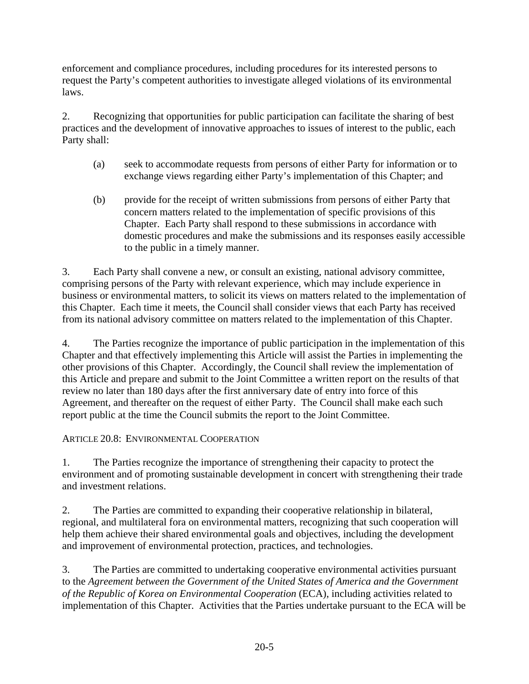enforcement and compliance procedures, including procedures for its interested persons to request the Party's competent authorities to investigate alleged violations of its environmental laws.

2. Recognizing that opportunities for public participation can facilitate the sharing of best practices and the development of innovative approaches to issues of interest to the public, each Party shall:

- (a) seek to accommodate requests from persons of either Party for information or to exchange views regarding either Party's implementation of this Chapter; and
- (b) provide for the receipt of written submissions from persons of either Party that concern matters related to the implementation of specific provisions of this Chapter. Each Party shall respond to these submissions in accordance with domestic procedures and make the submissions and its responses easily accessible to the public in a timely manner.

3. Each Party shall convene a new, or consult an existing, national advisory committee, comprising persons of the Party with relevant experience, which may include experience in business or environmental matters, to solicit its views on matters related to the implementation of this Chapter. Each time it meets, the Council shall consider views that each Party has received from its national advisory committee on matters related to the implementation of this Chapter.

4. The Parties recognize the importance of public participation in the implementation of this Chapter and that effectively implementing this Article will assist the Parties in implementing the other provisions of this Chapter. Accordingly, the Council shall review the implementation of this Article and prepare and submit to the Joint Committee a written report on the results of that review no later than 180 days after the first anniversary date of entry into force of this Agreement, and thereafter on the request of either Party. The Council shall make each such report public at the time the Council submits the report to the Joint Committee.

### ARTICLE 20.8: ENVIRONMENTAL COOPERATION

1. The Parties recognize the importance of strengthening their capacity to protect the environment and of promoting sustainable development in concert with strengthening their trade and investment relations.

2. The Parties are committed to expanding their cooperative relationship in bilateral, regional, and multilateral fora on environmental matters, recognizing that such cooperation will help them achieve their shared environmental goals and objectives, including the development and improvement of environmental protection, practices, and technologies.

3. The Parties are committed to undertaking cooperative environmental activities pursuant to the *Agreement between the Government of the United States of America and the Government of the Republic of Korea on Environmental Cooperation* (ECA), including activities related to implementation of this Chapter. Activities that the Parties undertake pursuant to the ECA will be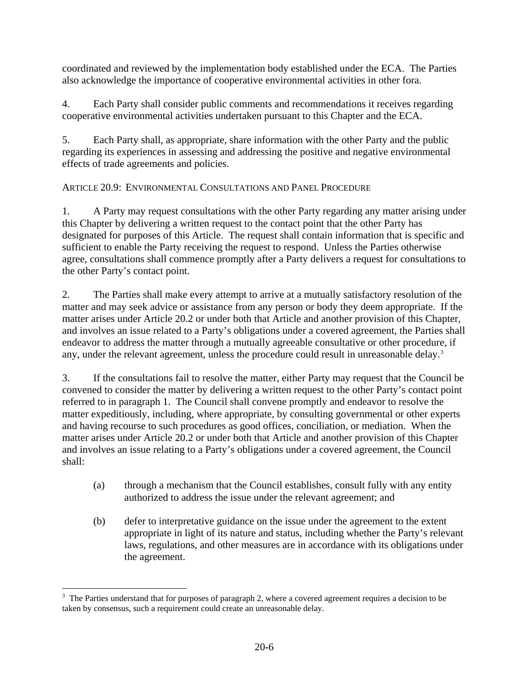coordinated and reviewed by the implementation body established under the ECA. The Parties also acknowledge the importance of cooperative environmental activities in other fora.

4. Each Party shall consider public comments and recommendations it receives regarding cooperative environmental activities undertaken pursuant to this Chapter and the ECA.

5. Each Party shall, as appropriate, share information with the other Party and the public regarding its experiences in assessing and addressing the positive and negative environmental effects of trade agreements and policies.

# ARTICLE 20.9: ENVIRONMENTAL CONSULTATIONS AND PANEL PROCEDURE

1. A Party may request consultations with the other Party regarding any matter arising under this Chapter by delivering a written request to the contact point that the other Party has designated for purposes of this Article. The request shall contain information that is specific and sufficient to enable the Party receiving the request to respond. Unless the Parties otherwise agree, consultations shall commence promptly after a Party delivers a request for consultations to the other Party's contact point.

2. The Parties shall make every attempt to arrive at a mutually satisfactory resolution of the matter and may seek advice or assistance from any person or body they deem appropriate. If the matter arises under Article 20.2 or under both that Article and another provision of this Chapter, and involves an issue related to a Party's obligations under a covered agreement, the Parties shall endeavor to address the matter through a mutually agreeable consultative or other procedure, if any, under the relevant agreement, unless the procedure could result in unreasonable delay.<sup>[3](#page-5-0)</sup>

3. If the consultations fail to resolve the matter, either Party may request that the Council be convened to consider the matter by delivering a written request to the other Party's contact point referred to in paragraph 1. The Council shall convene promptly and endeavor to resolve the matter expeditiously, including, where appropriate, by consulting governmental or other experts and having recourse to such procedures as good offices, conciliation, or mediation. When the matter arises under Article 20.2 or under both that Article and another provision of this Chapter and involves an issue relating to a Party's obligations under a covered agreement, the Council shall:

- (a) through a mechanism that the Council establishes, consult fully with any entity authorized to address the issue under the relevant agreement; and
- (b) defer to interpretative guidance on the issue under the agreement to the extent appropriate in light of its nature and status, including whether the Party's relevant laws, regulations, and other measures are in accordance with its obligations under the agreement.

<span id="page-5-0"></span> $\overline{a}$  $3$  The Parties understand that for purposes of paragraph 2, where a covered agreement requires a decision to be taken by consensus, such a requirement could create an unreasonable delay.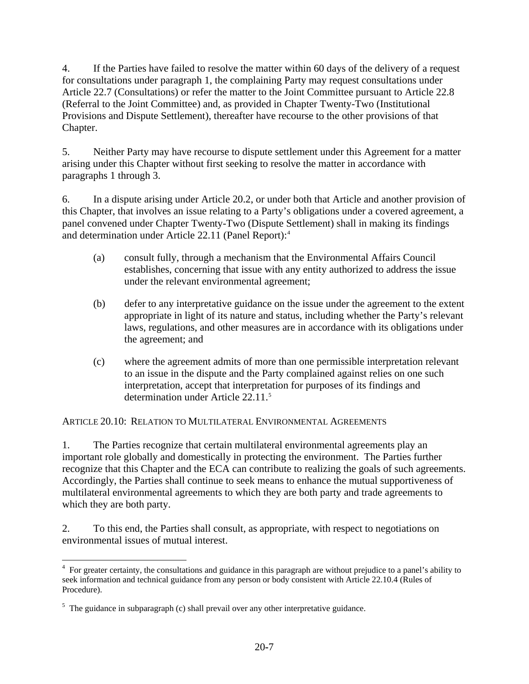4. If the Parties have failed to resolve the matter within 60 days of the delivery of a request for consultations under paragraph 1, the complaining Party may request consultations under Article 22.7 (Consultations) or refer the matter to the Joint Committee pursuant to Article 22.8 (Referral to the Joint Committee) and, as provided in Chapter Twenty-Two (Institutional Provisions and Dispute Settlement), thereafter have recourse to the other provisions of that Chapter.

5. Neither Party may have recourse to dispute settlement under this Agreement for a matter arising under this Chapter without first seeking to resolve the matter in accordance with paragraphs 1 through 3.

6. In a dispute arising under Article 20.2, or under both that Article and another provision of this Chapter, that involves an issue relating to a Party's obligations under a covered agreement, a panel convened under Chapter Twenty-Two (Dispute Settlement) shall in making its findings and determination under Article 22.11 (Panel Report):[4](#page-6-0)

- (a) consult fully, through a mechanism that the Environmental Affairs Council establishes, concerning that issue with any entity authorized to address the issue under the relevant environmental agreement;
- (b) defer to any interpretative guidance on the issue under the agreement to the extent appropriate in light of its nature and status, including whether the Party's relevant laws, regulations, and other measures are in accordance with its obligations under the agreement; and
- (c) where the agreement admits of more than one permissible interpretation relevant to an issue in the dispute and the Party complained against relies on one such interpretation, accept that interpretation for purposes of its findings and determination under Article 22.11.[5](#page-6-1)

ARTICLE 20.10: RELATION TO MULTILATERAL ENVIRONMENTAL AGREEMENTS

1. The Parties recognize that certain multilateral environmental agreements play an important role globally and domestically in protecting the environment. The Parties further recognize that this Chapter and the ECA can contribute to realizing the goals of such agreements. Accordingly, the Parties shall continue to seek means to enhance the mutual supportiveness of multilateral environmental agreements to which they are both party and trade agreements to which they are both party.

2. To this end, the Parties shall consult, as appropriate, with respect to negotiations on environmental issues of mutual interest.

<span id="page-6-0"></span> $\overline{a}$ <sup>4</sup> For greater certainty, the consultations and guidance in this paragraph are without prejudice to a panel's ability to seek information and technical guidance from any person or body consistent with Article 22.10.4 (Rules of Procedure).

<span id="page-6-1"></span> $5$  The guidance in subparagraph (c) shall prevail over any other interpretative guidance.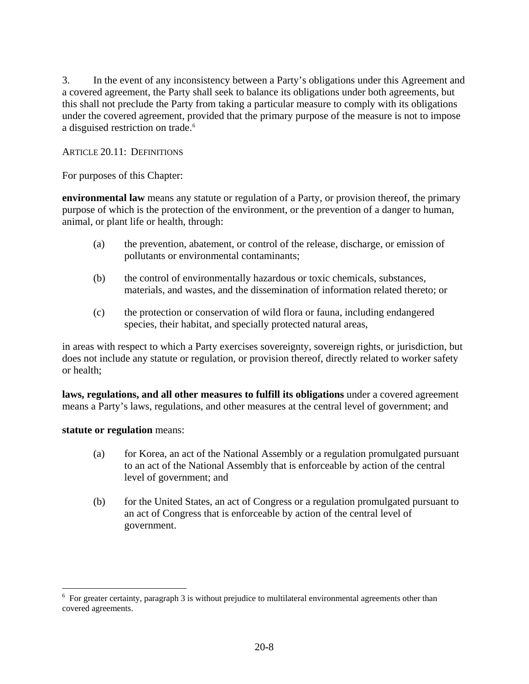3. In the event of any inconsistency between a Party's obligations under this Agreement and a covered agreement, the Party shall seek to balance its obligations under both agreements, but this shall not preclude the Party from taking a particular measure to comply with its obligations under the covered agreement, provided that the primary purpose of the measure is not to impose a disguised restriction on trade.<sup>[6](#page-7-0)</sup>

### ARTICLE 20.11: DEFINITIONS

For purposes of this Chapter:

**environmental law** means any statute or regulation of a Party, or provision thereof, the primary purpose of which is the protection of the environment, or the prevention of a danger to human, animal, or plant life or health, through:

- (a) the prevention, abatement, or control of the release, discharge, or emission of pollutants or environmental contaminants;
- (b) the control of environmentally hazardous or toxic chemicals, substances, materials, and wastes, and the dissemination of information related thereto; or
- (c) the protection or conservation of wild flora or fauna, including endangered species, their habitat, and specially protected natural areas,

in areas with respect to which a Party exercises sovereignty, sovereign rights, or jurisdiction, but does not include any statute or regulation, or provision thereof, directly related to worker safety or health;

**laws, regulations, and all other measures to fulfill its obligations** under a covered agreement means a Party's laws, regulations, and other measures at the central level of government; and

### **statute or regulation** means:

 $\overline{a}$ 

- (a) for Korea, an act of the National Assembly or a regulation promulgated pursuant to an act of the National Assembly that is enforceable by action of the central level of government; and
- (b) for the United States, an act of Congress or a regulation promulgated pursuant to an act of Congress that is enforceable by action of the central level of government.

<span id="page-7-0"></span> $6$  For greater certainty, paragraph 3 is without prejudice to multilateral environmental agreements other than covered agreements.